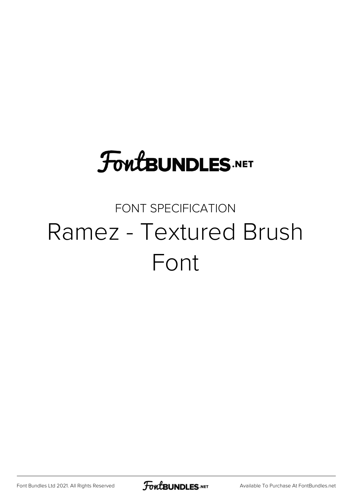## **FoutBUNDLES.NET**

## FONT SPECIFICATION Ramez - Textured Brush Font

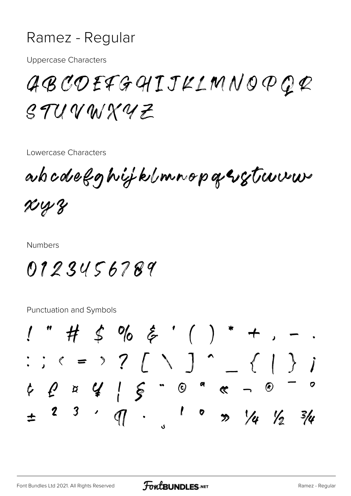## Ramez - Regular

**Uppercase Characters** 

ABCOEFGHIJKLMNOPQR STUVWXYZ

Lowercase Characters

adocdefghijklmnopasstruum  $x_{4}$ 

**Numbers** 

0123456789

**Punctuation and Symbols** 

 $"$  # \$ % & '( ) \* +,  $C: C \rightarrow Z \cup \{1, 2, \ldots, n\}$  $492415.098-0$  $\mathbf{r}$   $\alpha$  $\overline{\mathbb{P}}$  $2<sup>3</sup>$  $\gg$  /4 /2  $3/4$  $\div$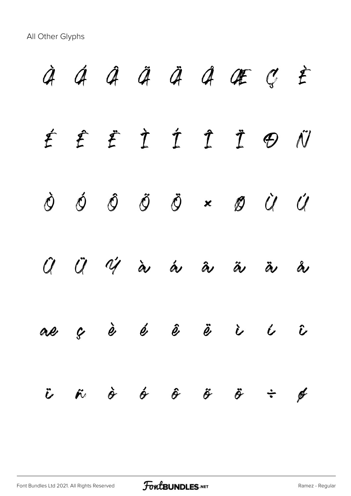All Other Glyphs

 $\dot{a}$   $\dot{a}$   $\ddot{a}$   $\ddot{a}$   $\ddot{a}$   $\ddot{a}$   $\ddot{a}$   $\ddot{a}$   $\ddot{a}$   $\ddot{a}$   $\ddot{a}$   $\ddot{a}$   $\ddot{a}$   $\ddot{a}$   $\ddot{a}$   $\ddot{a}$   $\ddot{a}$   $\ddot{a}$   $\ddot{a}$   $\ddot{a}$   $\ddot{a}$   $\ddot{a}$   $\ddot{a}$   $\ddot{a}$   $\ddot{a}$ É Ê Ë Ì Í Î Ï Ð Ñ Ò Ó Ô Õ Ö × Ø Ù Ú Û Ü Ý à á â ã ä å æ ç è é ê ë ì í î  $\ddot{v}$   $\ddot{\sigma}$   $\dot{\sigma}$   $\ddot{\sigma}$   $\ddot{\sigma}$   $\ddot{\sigma}$   $\ddot{\sigma}$   $\ddot{\sigma}$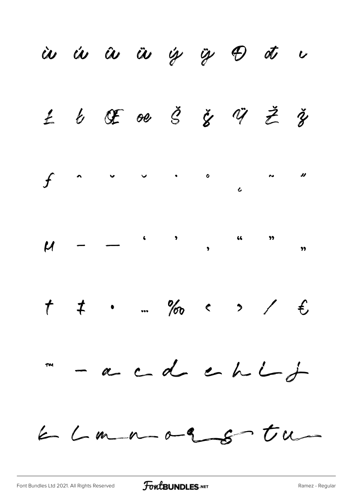